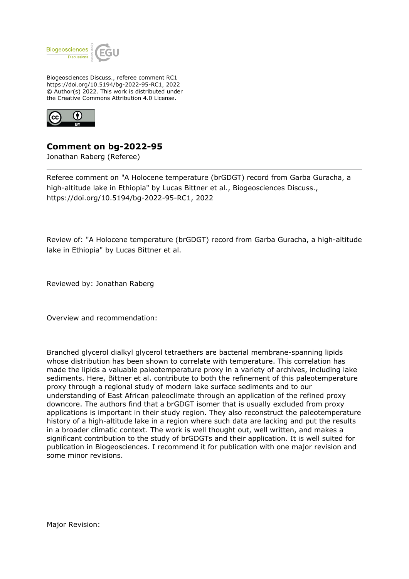

Biogeosciences Discuss., referee comment RC1 https://doi.org/10.5194/bg-2022-95-RC1, 2022 © Author(s) 2022. This work is distributed under the Creative Commons Attribution 4.0 License.



**Comment on bg-2022-95**

Jonathan Raberg (Referee)

Referee comment on "A Holocene temperature (brGDGT) record from Garba Guracha, a high-altitude lake in Ethiopia" by Lucas Bittner et al., Biogeosciences Discuss., https://doi.org/10.5194/bg-2022-95-RC1, 2022

Review of: "A Holocene temperature (brGDGT) record from Garba Guracha, a high-altitude lake in Ethiopia" by Lucas Bittner et al.

Reviewed by: Jonathan Raberg

Overview and recommendation:

Branched glycerol dialkyl glycerol tetraethers are bacterial membrane-spanning lipids whose distribution has been shown to correlate with temperature. This correlation has made the lipids a valuable paleotemperature proxy in a variety of archives, including lake sediments. Here, Bittner et al. contribute to both the refinement of this paleotemperature proxy through a regional study of modern lake surface sediments and to our understanding of East African paleoclimate through an application of the refined proxy downcore. The authors find that a brGDGT isomer that is usually excluded from proxy applications is important in their study region. They also reconstruct the paleotemperature history of a high-altitude lake in a region where such data are lacking and put the results in a broader climatic context. The work is well thought out, well written, and makes a significant contribution to the study of brGDGTs and their application. It is well suited for publication in Biogeosciences. I recommend it for publication with one major revision and some minor revisions.

Major Revision: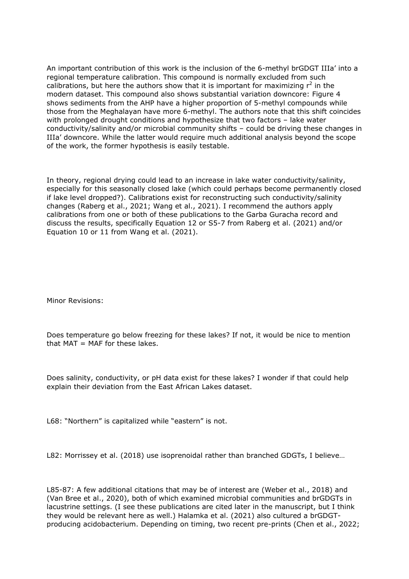An important contribution of this work is the inclusion of the 6-methyl brGDGT IIIa' into a regional temperature calibration. This compound is normally excluded from such calibrations, but here the authors show that it is important for maximizing  $r^2$  in the modern dataset. This compound also shows substantial variation downcore: Figure 4 shows sediments from the AHP have a higher proportion of 5-methyl compounds while those from the Meghalayan have more 6-methyl. The authors note that this shift coincides with prolonged drought conditions and hypothesize that two factors – lake water conductivity/salinity and/or microbial community shifts – could be driving these changes in IIIa' downcore. While the latter would require much additional analysis beyond the scope of the work, the former hypothesis is easily testable.

In theory, regional drying could lead to an increase in lake water conductivity/salinity, especially for this seasonally closed lake (which could perhaps become permanently closed if lake level dropped?). Calibrations exist for reconstructing such conductivity/salinity changes (Raberg et al., 2021; Wang et al., 2021). I recommend the authors apply calibrations from one or both of these publications to the Garba Guracha record and discuss the results, specifically Equation 12 or S5-7 from Raberg et al. (2021) and/or Equation 10 or 11 from Wang et al. (2021).

Minor Revisions:

Does temperature go below freezing for these lakes? If not, it would be nice to mention that  $MAT = MAF$  for these lakes.

Does salinity, conductivity, or pH data exist for these lakes? I wonder if that could help explain their deviation from the East African Lakes dataset.

L68: "Northern" is capitalized while "eastern" is not.

L82: Morrissey et al. (2018) use isoprenoidal rather than branched GDGTs, I believe…

L85-87: A few additional citations that may be of interest are (Weber et al., 2018) and (Van Bree et al., 2020), both of which examined microbial communities and brGDGTs in lacustrine settings. (I see these publications are cited later in the manuscript, but I think they would be relevant here as well.) Halamka et al. (2021) also cultured a brGDGTproducing acidobacterium. Depending on timing, two recent pre-prints (Chen et al., 2022;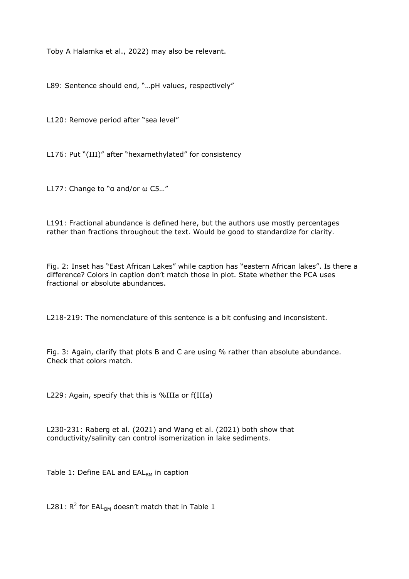Toby A Halamka et al., 2022) may also be relevant.

L89: Sentence should end, "...pH values, respectively"

L120: Remove period after "sea level"

L176: Put "(III)" after "hexamethylated" for consistency

L177: Change to "α and/or ω C5…"

L191: Fractional abundance is defined here, but the authors use mostly percentages rather than fractions throughout the text. Would be good to standardize for clarity.

Fig. 2: Inset has "East African Lakes" while caption has "eastern African lakes". Is there a difference? Colors in caption don't match those in plot. State whether the PCA uses fractional or absolute abundances.

L218-219: The nomenclature of this sentence is a bit confusing and inconsistent.

Fig. 3: Again, clarify that plots B and C are using % rather than absolute abundance. Check that colors match.

L229: Again, specify that this is %IIIa or f(IIIa)

L230-231: Raberg et al. (2021) and Wang et al. (2021) both show that conductivity/salinity can control isomerization in lake sediments.

Table 1: Define EAL and  $EAL<sub>BM</sub>$  in caption

L281:  $R^2$  for EAL<sub>BM</sub> doesn't match that in Table 1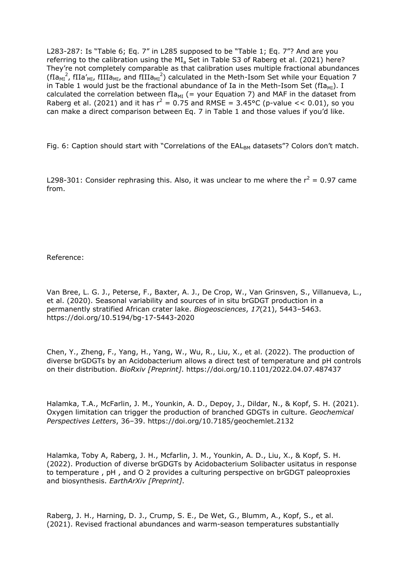L283-287: Is "Table 6; Eq. 7" in L285 supposed to be "Table 1; Eq. 7"? And are you referring to the calibration using the  $MI<sub>a</sub>$  Set in Table S3 of Raberg et al. (2021) here? They're not completely comparable as that calibration uses multiple fractional abundances (fIa<sub>MI</sub><sup>2</sup>, fIIa'<sub>MI</sub>, fIIIa<sub>MI</sub>, and fIIIa<sub>MI</sub><sup>2</sup>) calculated in the Meth-Isom Set while your Equation 7 in Table 1 would just be the fractional abundance of Ia in the Meth-Isom Set ( $fIa_{MI}$ ). I calculated the correlation between fIa<sub>MI</sub> (= your Equation 7) and MAF in the dataset from Raberg et al. (2021) and it has  $r^2 = 0.75$  and RMSE = 3.45°C (p-value  $<< 0.01$ ), so you can make a direct comparison between Eq. 7 in Table 1 and those values if you'd like.

Fig. 6: Caption should start with "Correlations of the  $EAL_{BM}$  datasets"? Colors don't match.

L298-301: Consider rephrasing this. Also, it was unclear to me where the  $r^2 = 0.97$  came from.

Reference:

Van Bree, L. G. J., Peterse, F., Baxter, A. J., De Crop, W., Van Grinsven, S., Villanueva, L., et al. (2020). Seasonal variability and sources of in situ brGDGT production in a permanently stratified African crater lake. *Biogeosciences*, *17*(21), 5443–5463. https://doi.org/10.5194/bg-17-5443-2020

Chen, Y., Zheng, F., Yang, H., Yang, W., Wu, R., Liu, X., et al. (2022). The production of diverse brGDGTs by an Acidobacterium allows a direct test of temperature and pH controls on their distribution. *BioRxiv [Preprint]*. https://doi.org/10.1101/2022.04.07.487437

Halamka, T.A., McFarlin, J. M., Younkin, A. D., Depoy, J., Dildar, N., & Kopf, S. H. (2021). Oxygen limitation can trigger the production of branched GDGTs in culture. *Geochemical Perspectives Letters*, 36–39. https://doi.org/10.7185/geochemlet.2132

Halamka, Toby A, Raberg, J. H., Mcfarlin, J. M., Younkin, A. D., Liu, X., & Kopf, S. H. (2022). Production of diverse brGDGTs by Acidobacterium Solibacter usitatus in response to temperature , pH , and O 2 provides a culturing perspective on brGDGT paleoproxies and biosynthesis. *EarthArXiv [Preprint]*.

Raberg, J. H., Harning, D. J., Crump, S. E., De Wet, G., Blumm, A., Kopf, S., et al. (2021). Revised fractional abundances and warm-season temperatures substantially